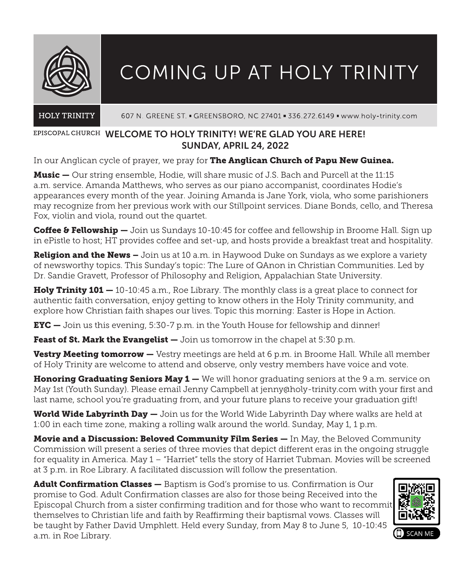

# COMING UP AT HOLY TRINITY

#### **HOLY TRINITY** 607 N. GREENE ST. - GREENSBORO, NC 27401 - 336.272.6149 - www.holy-trinity.com

# EPISCOPAL CHURCH WELCOME TO HOLY TRINITY! WE'RE GLAD YOU ARE HERE! SUNDAY, APRIL 24, 2022

In our Anglican cycle of prayer, we pray for The Anglican Church of Papu New Guinea.

**Music —** Our string ensemble, Hodie, will share music of J.S. Bach and Purcell at the 11:15 a.m. service. Amanda Matthews, who serves as our piano accompanist, coordinates Hodie's appearances every month of the year. Joining Amanda is Jane York, viola, who some parishioners may recognize from her previous work with our Stillpoint services. Diane Bonds, cello, and Theresa Fox, violin and viola, round out the quartet.

Coffee & Fellowship — Join us Sundays 10-10:45 for coffee and fellowship in Broome Hall. Sign up in ePistle to host; HT provides coffee and set-up, and hosts provide a breakfast treat and hospitality.

**Religion and the News –** Join us at 10 a.m. in Haywood Duke on Sundays as we explore a variety of newsworthy topics. This Sunday's topic: The Lure of QAnon in Christian Communities. Led by Dr. Sandie Gravett, Professor of Philosophy and Religion, Appalachian State University.

**Holy Trinity 101 —** 10-10:45 a.m., Roe Library. The monthly class is a great place to connect for authentic faith conversation, enjoy getting to know others in the Holy Trinity community, and explore how Christian faith shapes our lives. Topic this morning: Easter is Hope in Action.

**EYC**  $-$  Join us this evening, 5:30-7 p.m. in the Youth House for fellowship and dinner!

**Feast of St. Mark the Evangelist —** Join us tomorrow in the chapel at 5:30 p.m.

**Vestry Meeting tomorrow —** Vestry meetings are held at 6 p.m. in Broome Hall. While all member of Holy Trinity are welcome to attend and observe, only vestry members have voice and vote.

Honoring Graduating Seniors May 1 — We will honor graduating seniors at the 9 a.m. service on May 1st (Youth Sunday). Please email Jenny Campbell at jenny@holy-trinity.com with your first and last name, school you're graduating from, and your future plans to receive your graduation gift!

World Wide Labyrinth Day — Join us for the World Wide Labyrinth Day where walks are held at 1:00 in each time zone, making a rolling walk around the world. Sunday, May 1, 1 p.m.

Movie and a Discussion: Beloved Community Film Series — In May, the Beloved Community Commission will present a series of three movies that depict different eras in the ongoing struggle for equality in America. May 1 – "Harriet" tells the story of Harriet Tubman. Movies will be screened at 3 p.m. in Roe Library. A facilitated discussion will follow the presentation.

Adult Confirmation Classes — Baptism is God's promise to us. Confirmation is Our promise to God. Adult Confirmation classes are also for those being Received into the Episcopal Church from a sister confirming tradition and for those who want to recommit themselves to Christian life and faith by Reaffirming their baptismal vows. Classes will be taught by Father David Umphlett. Held every Sunday, from May 8 to June 5, 10-10:45 a.m. in Roe Library.